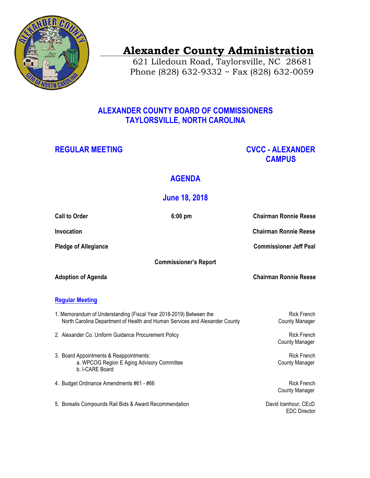

# **Alexander County Administration**

 621 Liledoun Road, Taylorsville, NC 28681 Phone (828) 632-9332 ~ Fax (828) 632-0059

## **ALEXANDER COUNTY BOARD OF COMMISSIONERS TAYLORSVILLE, NORTH CAROLINA**

## **REGULAR MEETING CVCC - ALEXANDER CAMPUS**

## **AGENDA**

## **June 18, 2018**

| <b>Call to Order</b>         |                                                                                                                                                   | $6:00$ pm | <b>Chairman Ronnie Reese</b>                |
|------------------------------|---------------------------------------------------------------------------------------------------------------------------------------------------|-----------|---------------------------------------------|
| Invocation                   |                                                                                                                                                   |           | <b>Chairman Ronnie Reese</b>                |
| <b>Pledge of Allegiance</b>  |                                                                                                                                                   |           | <b>Commissioner Jeff Peal</b>               |
| <b>Commissioner's Report</b> |                                                                                                                                                   |           |                                             |
| <b>Adoption of Agenda</b>    |                                                                                                                                                   |           | <b>Chairman Ronnie Reese</b>                |
| <b>Regular Meeting</b>       |                                                                                                                                                   |           |                                             |
|                              | 1. Memorandum of Understanding (Fiscal Year 2018-2019) Between the<br>North Carolina Department of Health and Human Services and Alexander County |           | <b>Rick French</b><br><b>County Manager</b> |
|                              | 2. Alexander Co. Uniform Guidance Procurement Policy                                                                                              |           | <b>Rick French</b><br><b>County Manager</b> |
|                              | 3. Board Appointments & Reappointments:<br>a. WPCOG Region E Aging Advisory Committee<br>b. I-CARE Board                                          |           | <b>Rick French</b><br><b>County Manager</b> |
|                              | 4. Budget Ordinance Amendments #61 - #66                                                                                                          |           | <b>Rick French</b><br><b>County Manager</b> |
|                              | 5. Borealis Compounds Rail Bids & Award Recommendation                                                                                            |           | David Icenhour, CEcD<br><b>EDC</b> Director |